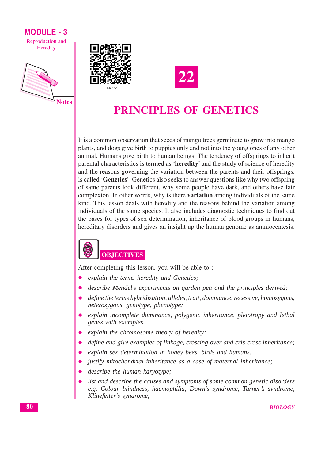# **MODULE - 3**

Reproduction and Heredity







# **PRINCIPLES OF GENETICS**

It is a common observation that seeds of mango trees germinate to grow into mango plants, and dogs give birth to puppies only and not into the young ones of any other animal. Humans give birth to human beings. The tendency of offsprings to inherit parental characteristics is termed as 'heredity' and the study of science of heredity and the reasons governing the variation between the parents and their offsprings, is called 'Genetics'. Genetics also seeks to answer questions like why two offspring of same parents look different, why some people have dark, and others have fair complexion. In other words, why is there **variation** among individuals of the same kind. This lesson deals with heredity and the reasons behind the variation among individuals of the same species. It also includes diagnostic techniques to find out the bases for types of sex determination, inheritance of blood groups in humans, hereditary disorders and gives an insight up the human genome as amniocentesis.

# **OBJECTIVES**

After completing this lesson, you will be able to:

- explain the terms heredity and Genetics;
- describe Mendel's experiments on garden pea and the principles derived;
- define the terms hybridization, alleles, trait, dominance, recessive, homozygous, heterozygous, genotype, phenotype;
- explain incomplete dominance, polygenic inheritance, pleiotropy and lethal genes with examples.
- explain the chromosome theory of heredity;
- define and give examples of linkage, crossing over and cris-cross inheritance;  $\bullet$
- explain sex determination in honey bees, birds and humans.
- justify mitochondrial inheritance as a case of maternal inheritance;
- describe the human karyotype;
- list and describe the causes and symptoms of some common genetic disorders e.g. Colour blindness, haemophilia, Down's syndrome, Turner's syndrome, Klinefelter's syndrome;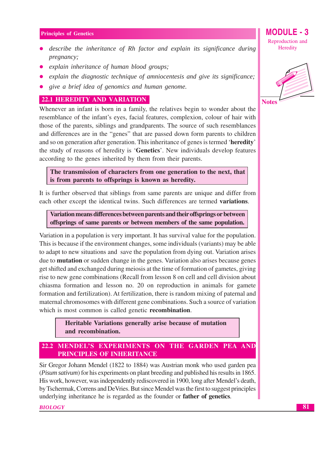- describe the inheritance of Rh factor and explain its significance during pregnancy;
- explain inheritance of human blood groups;
- explain the diagnostic technique of amniocentesis and give its significance;
- give a brief idea of genomics and human genome.

#### **22.1 HEREDITY AND VARIATION**

Whenever an infant is born in a family, the relatives begin to wonder about the resemblance of the infant's eyes, facial features, complexion, colour of hair with those of the parents, siblings and grandparents. The source of such resemblances and differences are in the "genes" that are passed down form parents to children and so on generation after generation. This inheritance of genes is termed 'heredity' the study of reasons of heredity is 'Genetics'. New individuals develop features according to the genes inherited by them from their parents.

The transmission of characters from one generation to the next, that is from parents to offsprings is known as heredity.

It is further observed that siblings from same parents are unique and differ from each other except the identical twins. Such differences are termed variations.

Variation means differences between parents and their offsprings or between offsprings of same parents or between members of the same population.

Variation in a population is very important. It has survival value for the population. This is because if the environment changes, some individuals (variants) may be able to adapt to new situations and save the population from dying out. Variation arises due to **mutation** or sudden change in the genes. Variation also arises because genes get shifted and exchanged during meiosis at the time of formation of gametes, giving rise to new gene combinations (Recall from lesson 8 on cell and cell division about chiasma formation and lesson no. 20 on reproduction in animals for gamete formation and fertilization). At fertilization, there is random mixing of paternal and maternal chromosomes with different gene combinations. Such a source of variation which is most common is called genetic recombination.

> Heritable Variations generally arise because of mutation and recombination.

# 22.2 MENDEL'S EXPERIMENTS ON THE GARDEN PEA AND **PRINCIPLES OF INHERITANCE**

Sir Gregor Johann Mendel (1822 to 1884) was Austrian monk who used garden pea *(Pisum sativum)* for his experiments on plant breeding and published his results in 1865. His work, however, was independently rediscovered in 1900, long after Mendel's death, by Tschermak, Correns and DeVries. But since Mendel was the first to suggest principles underlying inheritance he is regarded as the founder or **father of genetics**.

**BIOLOGY** 

Reproduction and Heredity

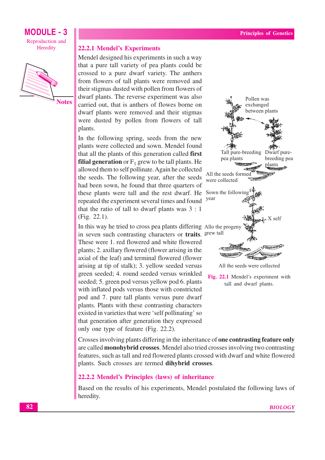

**22.2.1 Mendel's Experiments** 

Mendel designed his experiments in such a way that a pure tall variety of pea plants could be crossed to a pure dwarf variety. The anthers from flowers of tall plants were removed and their stigmas dusted with pollen from flowers of dwarf plants. The reverse experiment was also carried out, that is anthers of flowes borne on dwarf plants were removed and their stigmas were dusted by pollen from flowers of tall plants.

In the following spring, seeds from the new plants were collected and sown. Mendel found that all the plants of this generation called first **filial generation** or  $F_1$  grew to be tall plants. He allowed them to self pollinate. Again he collected the seeds. The following year, after the seeds had been sown, he found that three quarters of these plants were tall and the rest dwarf. He Sown the following repeated the experiment several times and found that the ratio of tall to dwarf plants was  $3:1$  $(Fig. 22.1)$ .

In this way he tried to cross pea plants differing Allo the progeny in seven such contrasting characters or traits. grew tall

These were 1. red flowered and white flowered plants; 2. axillary flowered (flower arising in the axial of the leaf) and terminal flowered (flower arising at tip of stalk); 3. yellow seeded versus green seeded; 4. round seeded versus wrinkled seeded; 5. green pod versus yellow pod 6. plants with inflated pods versus those with constricted pod and 7. pure tall plants versus pure dwarf plants. Plants with these contrasting characters existed in varieties that were 'self pollinating' so that generation after generation they expressed only one type of feature (Fig. 22.2).



Fig. 22.1 Mendel's experiment with tall and dwarf plants.

Crosses involving plants differing in the inheritance of **one contrasting feature only** are called **monohybrid crosses**. Mendel also tried crosses involving two contrasting features, such as tall and red flowered plants crossed with dwarf and white flowered plants. Such crosses are termed dihybrid crosses.

# 22.2.2 Mendel's Principles (laws) of inheritance

Based on the results of his experiments, Mendel postulated the following laws of heredity.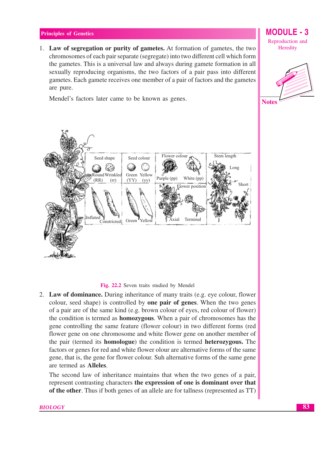1. Law of segregation or purity of gametes. At formation of gametes, the two chromosomes of each pair separate (segregate) into two different cell which form the gametes. This is a universal law and always during gamete formation in all sexually reproducing organisms, the two factors of a pair pass into different gametes. Each gamete receives one member of a pair of factors and the gametes are pure.

Mendel's factors later came to be known as genes.

#### Flower colour Stem length Seed shape Seed colour 68 ⊗ ۵ Long Green Yellow Round Wrinkled White (pp) Purple (pp)  $(RR)$  $(YY)$  $(rr)$  $(yy)$  $_{\rm{Chorr}}$ Flower position nflated Terminal Constricted Green Axial Yellow

Fig. 22.2 Seven traits studied by Mendel

2. Law of dominance. During inheritance of many traits (e.g. eye colour, flower colour, seed shape) is controlled by **one pair of genes**. When the two genes of a pair are of the same kind (e.g. brown colour of eyes, red colour of flower) the condition is termed as **homozygous**. When a pair of chromosomes has the gene controlling the same feature (flower colour) in two different forms (red flower gene on one chromosome and white flower gene on another member of the pair (termed its **homologue**) the condition is termed **heterozygous**. The factors or genes for red and white flower olour are alternative forms of the same gene, that is, the gene for flower colour. Suh alternative forms of the same gene are termed as **Alleles**.

The second law of inheritance maintains that when the two genes of a pair, represent contrasting characters the expression of one is dominant over that of the other. Thus if both genes of an allele are for tallness (represented as TT)

#### **BIOLOGY**



**MODULE - 3** 

Reproduction and

Heredity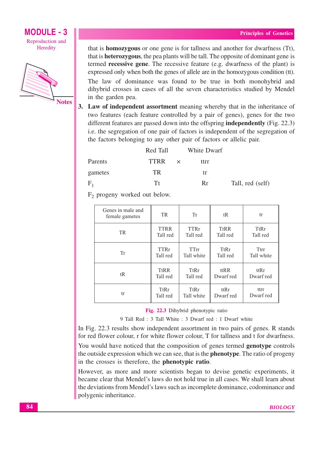# **MODULE - 3** Reproduction and

Heredity



that is **homozygous** or one gene is for tallness and another for dwarfness (Tt), that is **heterozygous**, the pea plants will be tall. The opposite of dominant gene is termed **recessive gene**. The recessive feature (e.g. dwarfness of the plant) is expressed only when both the genes of allele are in the homozygous condition (tt). The law of dominance was found to be true in both monohybrid and

dihybrid crosses in cases of all the seven characteristics studied by Mendel in the garden pea.

3. Law of independent assortment meaning whereby that in the inheritance of two features (each feature controlled by a pair of genes), genes for the two different features are passed down into the offspring **independently** (Fig. 22.3) i.e. the segregation of one pair of factors is independent of the segregation of the factors belonging to any other pair of factors or allelic pair.

|         | Red Tall | White Dwarf |                  |
|---------|----------|-------------|------------------|
| Parents | TTRR ×   | ttrr        |                  |
| gametes | TR.      | tr          |                  |
| $F_1$   | Tt       | Rr          | Tall, red (self) |

 $F<sub>2</sub>$  progeny worked out below.

| Genes in male and<br>female gametes | TR.         | Tr          | tR          | tr          |
|-------------------------------------|-------------|-------------|-------------|-------------|
| <b>TR</b>                           | <b>TTRR</b> | <b>TTRr</b> | <b>TtRR</b> | <b>TtRr</b> |
|                                     | Tall red    | Tall red    | Tall red    | Tall red    |
| Tr                                  | <b>TTRr</b> | TTrr        | TtRr        | Ttrr        |
|                                     | Tall red    | Tall white  | Tall red    | Tall white  |
| tR                                  | <b>TtRR</b> | TtRr        | ttRR        | ttRr        |
|                                     | Tall red    | Tall red    | Dwarf red   | Dwarf red   |
| tr                                  | TtRr        | <b>TtRr</b> | ttRr        | ttrr        |
|                                     | Tall red    | Tall white  | Dwarf red   | Dwarf red   |

Fig. 22.3 Dihybrid phenotypic ratio

9 Tall Red: 3 Tall White: 3 Dwarf red: 1 Dwarf white

In Fig. 22.3 results show independent assortment in two pairs of genes. R stands for red flower colour, r for white flower colour, T for tallness and t for dwarfness.

You would have noticed that the composition of genes termed **genotype** controls the outside expression which we can see, that is the **phenotype**. The ratio of progeny in the crosses is therefore, the **phenotypic ratio**.

However, as more and more scientists began to devise genetic experiments, it became clear that Mendel's laws do not hold true in all cases. We shall learn about the deviations from Mendel's laws such as incomplete dominance, codominance and polygenic inheritance.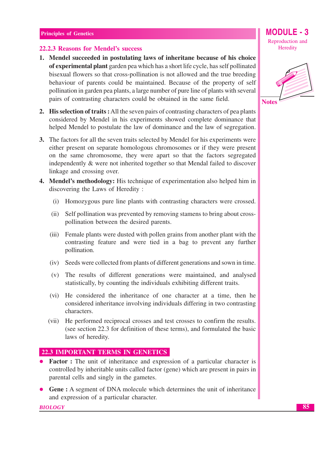#### 22.2.3 Reasons for Mendel's success

- 1. Mendel succeeded in postulating laws of inheritane because of his choice of experimental plant garden pea which has a short life cycle, has self pollinated bisexual flowers so that cross-pollination is not allowed and the true breeding behaviour of parents could be maintained. Because of the property of self pollination in garden pea plants, a large number of pure line of plants with several pairs of contrasting characters could be obtained in the same field.
- **2. His selection of traits:** All the seven pairs of contrasting characters of pea plants considered by Mendel in his experiments showed complete dominance that helped Mendel to postulate the law of dominance and the law of segregation.
- 3. The factors for all the seven traits selected by Mendel for his experiments were either present on separate homologous chromosomes or if they were present on the same chromosome, they were apart so that the factors segregated independently & were not inherited together so that Mendal failed to discover linkage and crossing over.
- **4. Mendel's methodology:** His technique of experimentation also helped him in discovering the Laws of Heredity:
	- Homozygous pure line plants with contrasting characters were crossed.  $(i)$
	- (ii) Self pollination was prevented by removing stamens to bring about crosspollination between the desired parents.
	- $(iii)$ Female plants were dusted with pollen grains from another plant with the contrasting feature and were tied in a bag to prevent any further pollination.
	- (iv) Seeds were collected from plants of different generations and sown in time.
	- (v) The results of different generations were maintained, and analysed statistically, by counting the individuals exhibiting different traits.
	- (vi) He considered the inheritance of one character at a time, then he considered inheritance involving individuals differing in two contrasting characters.
	- (vii) He performed reciprocal crosses and test crosses to confirm the results. (see section 22.3 for definition of these terms), and formulated the basic laws of heredity.

# **22.3 IMPORTANT TERMS IN GENETICS**

- Factor: The unit of inheritance and expression of a particular character is controlled by inheritable units called factor (gene) which are present in pairs in parental cells and singly in the gametes.
- **Gene**: A segment of DNA molecule which determines the unit of inheritance and expression of a particular character.

**BIOLOGY** 



**MODULE - 3** 

Reproduction and Heredity

**Notes**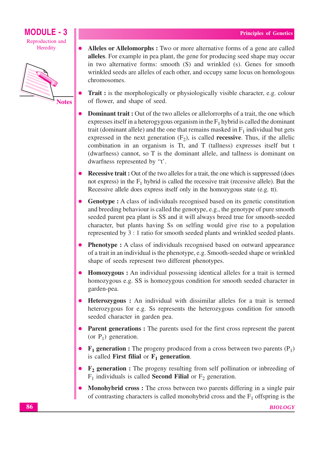

- Alleles or Allelomorphs : Two or more alternative forms of a gene are called alleles. For example in pea plant, the gene for producing seed shape may occur in two alternative forms: smooth (S) and wrinkled (s). Genes for smooth wrinkled seeds are alleles of each other, and occupy same locus on homologous chromosomes.
- **Trait :** is the morphologically or physiologically visible character, e.g. colour of flower, and shape of seed.
- **Dominant trait:** Out of the two alleles or allelorrorphs of a trait, the one which expresses itself in a heterogygous organism in the  $F_1$  hybrid is called the dominant trait (dominant allele) and the one that remains masked in  $F_1$  individual but gets expressed in the next generation  $(F_2)$ , is called **recessive**. Thus, if the allelic combination in an organism is Tt, and T (tallness) expresses itself but t (dwarfness) cannot, so T is the dominant allele, and tallness is dominant on dwarfness represented by "t'.
- **Recessive trait:** Out of the two alleles for a trait, the one which is suppressed (does not express) in the  $F_1$  hybrid is called the recessive trait (recessive allele). But the Recessive allele does express itself only in the homozygous state (e.g. tt).
- **Genotype :** A class of individuals recognised based on its genetic constitution and breeding behaviour is called the genotype, e.g., the genotype of pure smooth seeded parent pea plant is SS and it will always breed true for smooth-seeded character, but plants having Ss on selfing would give rise to a population represented by 3 : 1 ratio for smooth seeded plants and wrinkled seeded plants.
- **Phenotype :** A class of individuals recognised based on outward appearance of a trait in an individual is the phenotype, e.g. Smooth-seeded shape or wrinkled shape of seeds represent two different phenotypes.
- **Homozygous**: An individual possessing identical alleles for a trait is termed homozygous e.g. SS is homozygous condition for smooth seeded character in garden-pea.
- Heterozygous: An individual with dissimilar alleles for a trait is termed heterozygous for e.g. Ss represents the heterozygous condition for smooth seeded character in garden pea.
- Parent generations: The parents used for the first cross represent the parent (or  $P_1$ ) generation.
- $F_1$  generation : The progeny produced from a cross between two parents (P<sub>1</sub>) is called First filial or  $F_1$  generation.
- $F_2$  generation : The progeny resulting from self pollination or inbreeding of  $F_1$  individuals is called **Second Filial** or  $F_2$  generation.
- Monohybrid cross: The cross between two parents differing in a single pair of contrasting characters is called monohybrid cross and the  $F_1$  offspring is the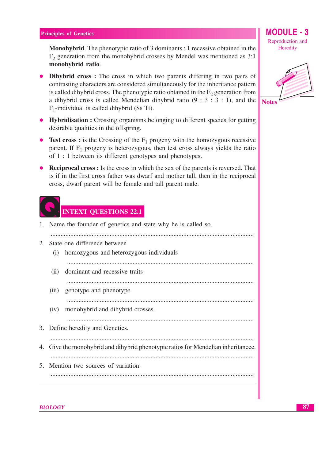**Monohybrid.** The phenotypic ratio of 3 dominants : 1 recessive obtained in the  $F<sub>2</sub>$  generation from the monohybrid crosses by Mendel was mentioned as 3:1 monohybrid ratio.

- Dihybrid cross: The cross in which two parents differing in two pairs of contrasting characters are considered simultaneously for the inheritance pattern is called dihybrid cross. The phenotypic ratio obtained in the  $F<sub>2</sub>$  generation from a dihybrid cross is called Mendelian dihybrid ratio  $(9:3:3:1)$ , and the  $F_1$ -individual is called dihybrid (Ss Tt).
- Hybridisation : Crossing organisms belonging to different species for getting desirable qualities in the offspring.
- Test cross: is the Crossing of the  $F_1$  progeny with the homozygous recessive parent. If  $F_1$  progeny is heterozygous, then test cross always yields the ratio of 1 : 1 between its different genotypes and phenotypes.
- Reciprocal cross : Is the cross in which the sex of the parents is reversed. That is if in the first cross father was dwarf and mother tall, then in the reciprocal cross, dwarf parent will be female and tall parent male.



# **INTEXT QUESTIONS 22.1**

|    | 1. Name the founder of genetics and state why he is called so.                   |
|----|----------------------------------------------------------------------------------|
| 2. | State one difference between                                                     |
|    | homozygous and heterozygous individuals<br>(1)                                   |
|    | dominant and recessive traits<br>(ii)                                            |
|    | (iii) genotype and phenotype                                                     |
|    | monohybrid and dihybrid crosses.<br>(iv)                                         |
|    | 3. Define heredity and Genetics.                                                 |
|    | 4. Give the monohybrid and dihybrid phenotypic ratios for Mendelian inheritance. |
|    | 5. Mention two sources of variation.                                             |
|    |                                                                                  |



**MODULE - 3** 

Reproduction and

Heredity

**BIOLOGY**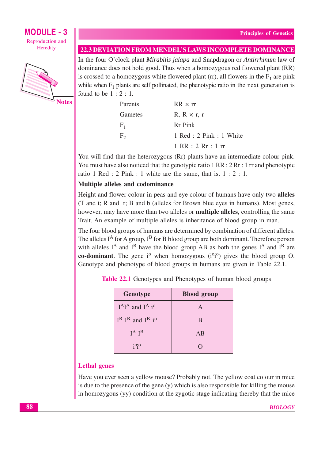

**Notes** 

|  | <b>22.3 DEVIATION FROM MENDEL'S LAWS INCOMPLETE DOMINANCE</b> |  |
|--|---------------------------------------------------------------|--|
|  |                                                               |  |

In the four O'clock plant Mirabilis jalapa and Snapdragon or Antirrhinum law of dominance does not hold good. Thus when a homozygous red flowered plant (RR) is crossed to a homozygous white flowered plant (rr), all flowers in the  $F_1$  are pink while when  $F_1$  plants are self pollinated, the phenotypic ratio in the next generation is found to be  $1:2:1$ .

| Parents        | $RR \times rr$                                     |
|----------------|----------------------------------------------------|
| Gametes        | $R, R \times r, r$                                 |
| $F_{1}$        | Rr Pink                                            |
| F <sub>2</sub> | 1 Red : 2 Pink : 1 White                           |
|                | $1 \, \text{RR} : 2 \, \text{Rr} : 1 \, \text{rr}$ |

You will find that the heterozygous (Rr) plants have an intermediate colour pink. You must have also noticed that the genotypic ratio  $1 RR : 2 Rr : 1 rr$  and phenotypic ratio 1 Red : 2 Pink : 1 white are the same, that is,  $1 : 2 : 1$ .

# Multiple alleles and codominance

Height and flower colour in peas and eye colour of humans have only two alleles (T and t; R and r; B and b (alleles for Brown blue eyes in humans). Most genes, however, may have more than two alleles or **multiple alleles**, controlling the same Trait. An example of multiple alleles is inheritance of blood group in man.

The four blood groups of humans are determined by combination of different alleles. The alleles  $I^A$  for A group,  $I^B$  for B blood group are both dominant. Therefore person with alleles  $I^A$  and  $I^B$  have the blood group AB as both the genes  $I^A$  and  $I^B$  are co-dominant. The gene  $i^{\circ}$  when homozygous  $(i^{\circ}i^{\circ})$  gives the blood group O. Genotype and phenotype of blood groups in humans are given in Table 22.1.

Table 22.1 Genotypes and Phenotypes of human blood groups

| <b>Genotype</b>                    | <b>Blood</b> group |
|------------------------------------|--------------------|
| $I^A I^A$ and $I^A$ i <sup>o</sup> | A                  |
| $I^B$ $I^B$ and $I^B$ $i^0$        | B                  |
| $I^A$ $I^B$                        | AB                 |
| $i^{0}i^{0}$                       | $\Box$             |

## **Lethal** genes

Have you ever seen a yellow mouse? Probably not. The yellow coat colour in mice is due to the presence of the gene  $(y)$  which is also responsible for killing the mouse in homozygous (yy) condition at the zygotic stage indicating thereby that the mice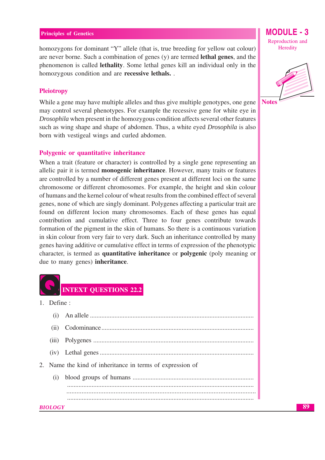homozygons for dominant "Y" allele (that is, true breeding for yellow oat colour) are never borne. Such a combination of genes (y) are termed **lethal genes**, and the phenomenon is called **lethality**. Some lethal genes kill an individual only in the homozygous condition and are recessive lethals...

#### **Pleiotropy**

While a gene may have multiple alleles and thus give multiple genotypes, one gene may control several phenotypes. For example the recessive gene for white eye in *Drosophila* when present in the homozygous condition affects several other features such as wing shape and shape of abdomen. Thus, a white eyed *Drosophila* is also born with vestigeal wings and curled abdomen.

#### Polygenic or quantitative inheritance

When a trait (feature or character) is controlled by a single gene representing an allelic pair it is termed **monogenic inheritance**. However, many traits or features are controlled by a number of different genes present at different loci on the same chromosome or different chromosomes. For example, the height and skin colour of humans and the kernel colour of wheat results from the combined effect of several genes, none of which are singly dominant. Polygenes affecting a particular trait are found on different locion many chromosomes. Each of these genes has equal contribution and cumulative effect. Three to four genes contribute towards formation of the pigment in the skin of humans. So there is a continuous variation in skin colour from very fair to very dark. Such an inheritance controlled by many genes having additive or cumulative effect in terms of expression of the phenotypic character, is termed as quantitative inheritance or polygenic (poly meaning or due to many genes) inheritance.



1. Define:

| (i)                                                       |  |
|-----------------------------------------------------------|--|
| (ii)                                                      |  |
|                                                           |  |
|                                                           |  |
| 2. Name the kind of inheritance in terms of expression of |  |
|                                                           |  |
|                                                           |  |
|                                                           |  |
| <b>BIOLOGY</b>                                            |  |

MODULE -  $3$ Reproduction and Heredity



**Notes**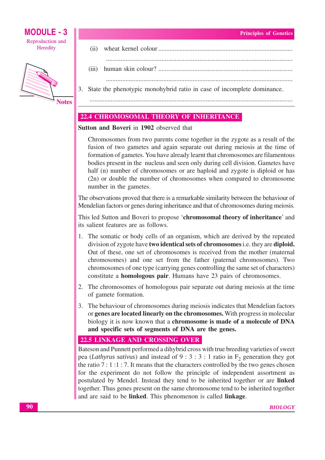

 $(ii)$  $(iii)$ 3. State the phenotypic monohybrid ratio in case of incomplete dominance.

# **22.4 CHROMOSOMAL THEORY OF INHERITANCE**

# Sutton and Boveri in 1902 observed that

Chromosomes from two parents come together in the zygote as a result of the fusion of two gametes and again separate out during meiosis at the time of formation of gametes. You have already learnt that chromosomes are filamentous bodies present in the nucleus and seen only during cell division. Gametes have half (n) number of chromosomes or are haploid and zygote is diploid or has (2n) or double the number of chromosomes when compared to chromosome number in the gametes.

The observations proved that there is a remarkable similarity between the behaviour of Mendelian factors or genes during inheritance and that of chromosomes during meiosis.

This led Sutton and Boveri to propose 'chromosomal theory of inheritance' and its salient features are as follows.

- 1. The somatic or body cells of an organism, which are derived by the repeated division of zygote have two identical sets of chromosomes i.e. they are diploid. Out of these, one set of chromosomes is received from the mother (maternal chromosomes) and one set from the father (paternal chromosomes). Two chromosomes of one type (carrying genes controlling the same set of characters) constitute a **homologous pair**. Humans have 23 pairs of chromosomes.
- 2. The chromosomes of homologous pair separate out during meiosis at the time of gamete formation.
- 3. The behaviour of chromosomes during meiosis indicates that Mendelian factors or genes are located linearly on the chromosomes. With progress in molecular biology it is now known that a chromosome is made of a molecule of DNA and specific sets of segments of DNA are the genes.

## **22.5 LINKAGE AND CROSSING OVER**

Bateson and Punnett performed a dihybrid cross with true breeding varieties of sweet pea (Lathyrus sativus) and instead of 9 : 3 : 3 : 1 ratio in  $F_2$  generation they got the ratio  $7:1:1:7$ . It means that the characters controlled by the two genes chosen for the experiment do not follow the principle of independent assortment as postulated by Mendel. Instead they tend to be inherited together or are linked together. Thus genes present on the same chromosome tend to be inherited together and are said to be linked. This phenomenon is called linkage.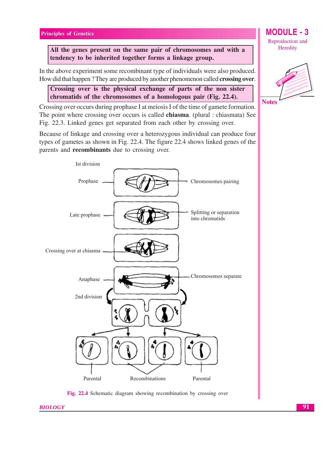All the genes present on the same pair of chromosomes and with a tendency to be inherited together forms a linkage group.

In the above experiment some recombinant type of individuals were also produced. How did that happen? They are produced by another phenomenon called crossing over.

Crossing over is the physical exchange of parts of the non sister chromatids of the chromosomes of a homologous pair (Fig. 22.4).

Crossing over occurs during prophase I at meiosis I of the time of gamete formation. The point where crossing over occurs is called **chiasma**. (plural : chiasmata) See Fig. 22.3. Linked genes get separated from each other by crossing over.

Because of linkage and crossing over a heterozygous individual can produce four types of gametes as shown in Fig. 22.4. The figure 22.4 shows linked genes of the parents and recombinants due to crossing over.



Fig. 22.4 Schematic diagram showing recombination by crossing over

Reproduction and Heredity

**MODULE - 3** 



**BIOLOGY**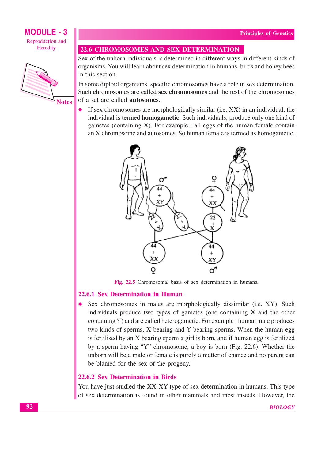

**Notes** 

#### **22.6 CHROMOSOMES AND SEX DETERMINATION**

Sex of the unborn individuals is determined in different ways in different kinds of organisms. You will learn about sex determination in humans, birds and honey bees in this section.

In some diploid organisms, specific chromosomes have a role in sex determination. Such chromosomes are called sex chromosomes and the rest of the chromosomes of a set are called **autosomes**.

If sex chromosomes are morphologically similar (i.e. XX) in an individual, the  $\bullet$ individual is termed **homogametic**. Such individuals, produce only one kind of gametes (containing  $X$ ). For example : all eggs of the human female contain an X chromosome and autosomes. So human female is termed as homogametic.



Fig. 22.5 Chromosomal basis of sex determination in humans.

#### 22.6.1 Sex Determination in Human

• Sex chromosomes in males are morphologically dissimilar (i.e. XY). Such individuals produce two types of gametes (one containing X and the other containing Y) and are called heterogametic. For example : human male produces two kinds of sperms, X bearing and Y bearing sperms. When the human egg is fertilised by an X bearing sperm a girl is born, and if human egg is fertilized by a sperm having "Y" chromosome, a boy is born (Fig. 22.6). Whether the unborn will be a male or female is purely a matter of chance and no parent can be blamed for the sex of the progeny.

#### 22.6.2 Sex Determination in Birds

You have just studied the XX-XY type of sex determination in humans. This type of sex determination is found in other mammals and most insects. However, the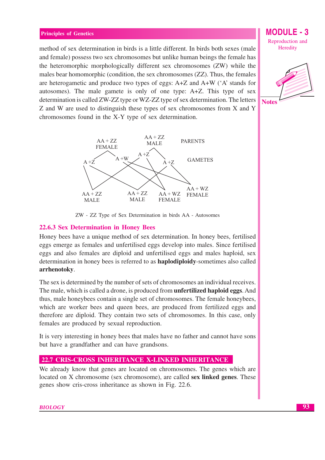method of sex determination in birds is a little different. In birds both sexes (male and female) possess two sex chromosomes but unlike human beings the female has the heteromorphic morphologically different sex chromosomes (ZW) while the males bear homomorphic (condition, the sex chromosomes (ZZ). Thus, the females are heterogametic and produce two types of eggs:  $A + Z$  and  $A + W$  ( $A$ <sup>2</sup> stands for autosomes). The male gamete is only of one type: A+Z. This type of sex determination is called ZW-ZZ type or WZ-ZZ type of sex determination. The letters Z and W are used to distinguish these types of sex chromosomes from X and Y chromosomes found in the X-Y type of sex determination.



ZW - ZZ Type of Sex Determination in birds AA - Autosomes

#### 22.6.3 Sex Determination in Honey Bees

Honey bees have a unique method of sex determination. In honey bees, fertilised eggs emerge as females and unfertilised eggs develop into males. Since fertilised eggs and also females are diploid and unfertilised eggs and males haploid, sex determination in honey bees is referred to as **haplodiploidy**-sometimes also called arrhenotoky.

The sex is determined by the number of sets of chromosomes an individual receives. The male, which is called a drone, is produced from **unfertilized haploid eggs**. And thus, male honeybees contain a single set of chromosomes. The female honeybees, which are worker bees and queen bees, are produced from fertilized eggs and therefore are diploid. They contain two sets of chromosomes. In this case, only females are produced by sexual reproduction.

It is very interesting in honey bees that males have no father and cannot have sons but have a grandfather and can have grandsons.

#### **22.7 CRIS-CROSS INHERITANCE X-LINKED INHERITANCE**

We already know that genes are located on chromosomes. The genes which are located on X chromosome (sex chromosome), are called **sex linked genes**. These genes show cris-cross inheritance as shown in Fig. 22.6.

Reproduction and Heredity

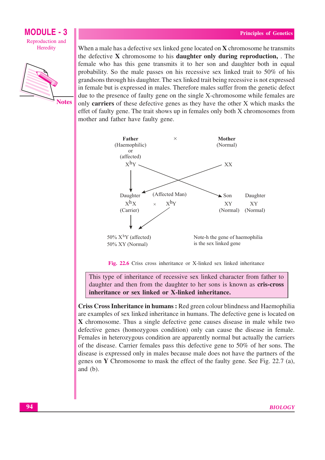

When a male has a defective sex linked gene located on  $X$  chromosome he transmits the defective **X** chromosome to his **daughter only during reproduction,** The female who has this gene transmits it to her son and daughter both in equal probability. So the male passes on his recessive sex linked trait to 50% of his grandsons through his daughter. The sex linked trait being recessive is not expressed in female but is expressed in males. Therefore males suffer from the genetic defect due to the presence of faulty gene on the single X-chromosome while females are only carriers of these defective genes as they have the other X which masks the effet of faulty gene. The trait shows up in females only both X chromosomes from mother and father have faulty gene.



Fig. 22.6 Criss cross inheritance or X-linked sex linked inheritance

This type of inheritance of recessive sex linked character from father to daughter and then from the daughter to her sons is known as cris-cross inheritance or sex linked or X-linked inheritance.

Criss Cross Inheritance in humans: Red green colour blindness and Haemophilia are examples of sex linked inheritance in humans. The defective gene is located on X chromosome. Thus a single defective gene causes disease in male while two defective genes (homozygous condition) only can cause the disease in female. Females in heterozygous condition are apparently normal but actually the carriers of the disease. Carrier females pass this defective gene to  $50\%$  of her sons. The disease is expressed only in males because male does not have the partners of the genes on Y Chromosome to mask the effect of the faulty gene. See Fig. 22.7 (a), and  $(b)$ .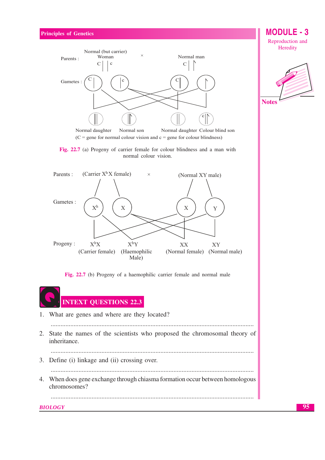

Fig. 22.7 (a) Progeny of carrier female for colour blindness and a man with normal colour vision.



Fig. 22.7 (b) Progeny of a haemophilic carrier female and normal male



**MODULE - 3** Reproduction and Heredity

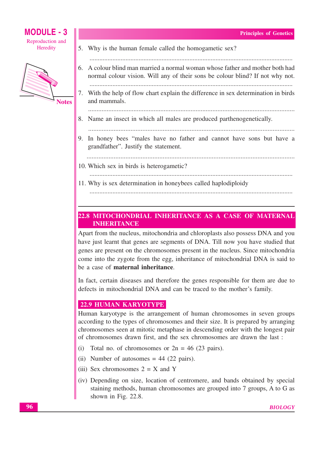

**MODULE - 3** 

| 5. Why is the human female called the homogametic sex?                                                                                                        |
|---------------------------------------------------------------------------------------------------------------------------------------------------------------|
| 6. A colour blind man married a normal woman whose father and mother both had<br>normal colour vision. Will any of their sons be colour blind? If not why not |
| 7. With the help of flow chart explain the difference in sex determination in birds<br>and mammals.                                                           |
| 8. Name an insect in which all males are produced parthenogenetically.                                                                                        |
| 9. In honey bees "males have no father and cannot have sons but have a<br>grandfather". Justify the statement.                                                |
| 10. Which sex in birds is heterogametic?                                                                                                                      |
| 11. Why is sex determination in honeybees called haplodiploidy                                                                                                |

# 22.8 MITOCHONDRIAL INHERITANCE AS A CASE OF MATERNAL **INHERITANCE**

Apart from the nucleus, mitochondria and chloroplasts also possess DNA and you have just learnt that genes are segments of DNA. Till now you have studied that genes are present on the chromosomes present in the nucleus. Since mitochondria come into the zygote from the egg, inheritance of mitochondrial DNA is said to be a case of maternal inheritance.

In fact, certain diseases and therefore the genes responsible for them are due to defects in mitochondrial DNA and can be traced to the mother's family.

# 22.9 HUMAN KARYOTYPE

Human karyotype is the arrangement of human chromosomes in seven groups according to the types of chromosomes and their size. It is prepared by arranging chromosomes seen at mitotic metaphase in descending order with the longest pair of chromosomes drawn first, and the sex chromosomes are drawn the last :

- (i) Total no. of chromosomes or  $2n = 46$  (23 pairs).
- (ii) Number of autosomes  $= 44$  (22 pairs).
- (iii) Sex chromosomes  $2 = X$  and Y
- (iv) Depending on size, location of centromere, and bands obtained by special staining methods, human chromosomes are grouped into 7 groups, A to G as shown in Fig. 22.8.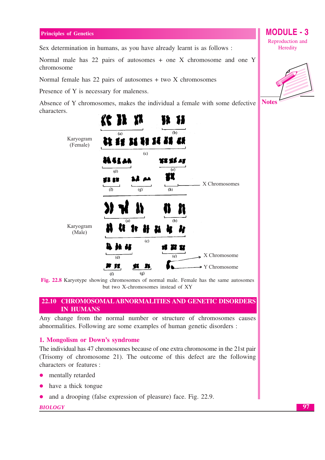Sex determination in humans, as you have already learnt is as follows :

Normal male has 22 pairs of autosomes + one X chromosome and one Y chromosome

Normal female has  $22$  pairs of autosomes  $+$  two X chromosomes

Presence of Y is necessary for maleness.

Absence of Y chromosomes, makes the individual a female with some defective characters.



Fig. 22.8 Karyotype showing chromosomes of normal male. Female has the same autosomes but two X-chromosomes instead of XY

### 22.10 CHROMOSOMAL ABNORMALITIES AND GENETIC DISORDERS **IN HUMANS**

Any change from the normal number or structure of chromosomes causes abnormalities. Following are some examples of human genetic disorders :

#### 1. Mongolism or Down's syndrome

The individual has 47 chromosomes because of one extra chromosome in the 21st pair (Trisomy of chromosome 21). The outcome of this defect are the following characters or features :

- mentally retarded
- have a thick tongue  $\bullet$
- and a drooping (false expression of pleasure) face. Fig. 22.9.  $\bullet$

#### **BIOLOGY**

Reproduction and Heredity

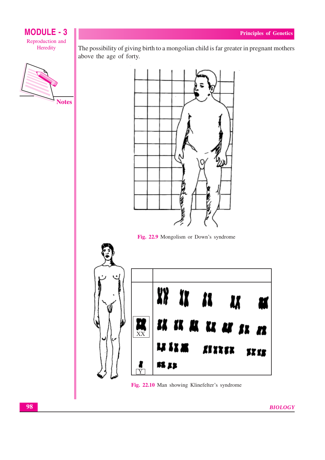

The possibility of giving birth to a mongolian child is far greater in pregnant mothers above the age of forty.



Fig. 22.9 Mongolism or Down's syndrome



Fig. 22.10 Man showing Klinefelter's syndrome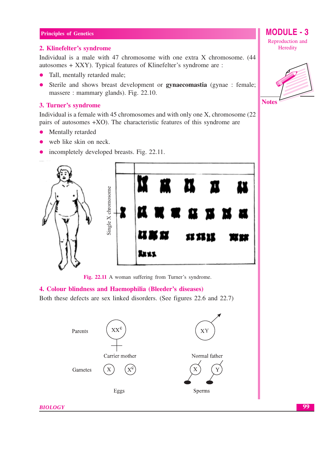#### 2. Klinefelter's syndrome

Individual is a male with 47 chromosome with one extra X chromosome. (44 autosomes + XXY). Typical features of Klinefelter's syndrome are :

- Tall, mentally retarded male;  $\bullet$
- Sterile and shows breast development or **gynaecomastia** (gynae : female;  $\bullet$ massere: mammary glands). Fig. 22.10.

#### 3. Turner's syndrome

Individual is a female with 45 chromosomes and with only one X, chromosome (22) pairs of autosomes  $+XO$ ). The characteristic features of this syndrome are

- Mentally retarded  $\bullet$
- web like skin on neck.
- incompletely developed breasts. Fig. 22.11.  $\bullet$



Fig. 22.11 A woman suffering from Turner's syndrome.

#### 4. Colour blindness and Haemophilia (Bleeder's diseases)

Both these defects are sex linked disorders. (See figures 22.6 and 22.7)



Reproduction and Heredity

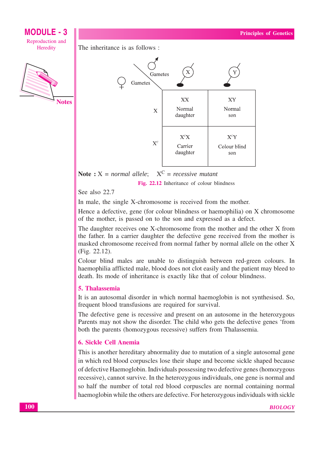







 $X^C$  = recessive mutant Note :  $X = normal$  allele:

Fig. 22.12 Inheritance of colour blindness

# See also 22.7

In male, the single X-chromosome is received from the mother.

Hence a defective, gene (for colour blindness or haemophilia) on X chromosome of the mother, is passed on to the son and expressed as a defect.

The daughter receives one X-chromosome from the mother and the other X from the father. In a carrier daughter the defective gene received from the mother is masked chromosome received from normal father by normal allele on the other X  $(Fig. 22.12).$ 

Colour blind males are unable to distinguish between red-green colours. In haemophilia afflicted male, blood does not clot easily and the patient may bleed to death. Its mode of inheritance is exactly like that of colour blindness.

## 5. Thalassemia

It is an autosomal disorder in which normal haemoglobin is not synthesised. So, frequent blood transfusions are required for survival.

The defective gene is recessive and present on an autosome in the heterozygous Parents may not show the disorder. The child who gets the defective genes 'from both the parents (homozygous recessive) suffers from Thalassemia.

# 6. Sickle Cell Anemia

This is another hereditary abnormality due to mutation of a single autosomal gene in which red blood corpuscles lose their shape and become sickle shaped because of defective Haemoglobin. Individuals possessing two defective genes (homozygous recessive), cannot survive. In the heterozygous individuals, one gene is normal and so half the number of total red blood corpuscles are normal containing normal haemoglobin while the others are defective. For heterozygous individuals with sickle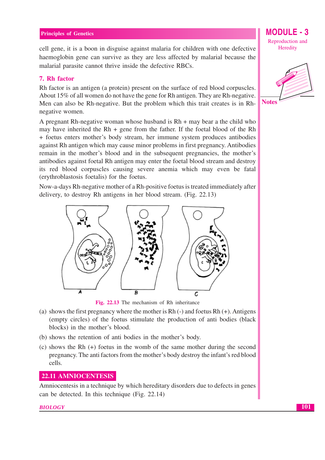cell gene, it is a boon in disguise against malaria for children with one defective haemoglobin gene can survive as they are less affected by malarial because the malarial parasite cannot thrive inside the defective RBCs.

### 7. Rh factor

Rh factor is an antigen (a protein) present on the surface of red blood corpuscles. About 15% of all women do not have the gene for Rh antigen. They are Rh-negative. Men can also be Rh-negative. But the problem which this trait creates is in Rhnegative women.

A pregnant Rh-negative woman whose husband is  $Rh + may$  bear a the child who may have inherited the  $Rh$  + gene from the father. If the foetal blood of the  $Rh$ + foetus enters mother's body stream, her immune system produces antibodies against Rh antigen which may cause minor problems in first pregnancy. Antibodies remain in the mother's blood and in the subsequent pregnancies, the mother's antibodies against foetal Rh antigen may enter the foetal blood stream and destroy its red blood corpuscles causing severe anemia which may even be fatal (erythroblastosis foetalis) for the foetus.

Now-a-days Rh-negative mother of a Rh-positive foetus is treated immediately after delivery, to destroy Rh antigens in her blood stream. (Fig. 22.13)



Fig. 22.13 The mechanism of Rh inheritance

- (a) shows the first pregnancy where the mother is Rh  $(-)$  and foetus Rh  $(+)$ . Antigens (empty circles) of the foetus stimulate the production of anti-bodies (black blocks) in the mother's blood.
- (b) shows the retention of anti-bodies in the mother's body.
- (c) shows the Rh  $(+)$  foetus in the womb of the same mother during the second pregnancy. The anti-factors from the mother's body destroy the infant's red blood cells.

#### 22.11 AMNIOCENTESIS

Amniocentesis in a technique by which hereditary disorders due to defects in genes can be detected. In this technique (Fig. 22.14)

#### **BIOLOGY**

Reproduction and Heredity

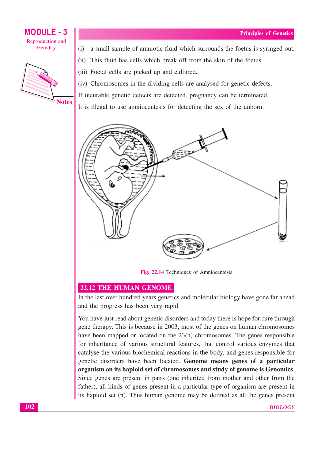

- (i) a small sample of amniotic fluid which surrounds the foetus is syringed out.
- (ii) This fluid has cells which break off from the skin of the foetus.
- (iii) Foetal cells are picked up and cultured.
- (iv) Chromosomes in the dividing cells are analysed for genetic defects.
- If incurable genetic defects are detected, pregnancy can be terminated.
- It is illegal to use amniocentesis for detecting the sex of the unborn.



Fig. 22.14 Techniques of Amniocentesis

## **22.12 THE HUMAN GENOME**

In the last over hundred years genetics and molecular biology have gone far ahead and the progress has been very rapid.

You have just read about genetic disorders and today there is hope for cure through gene therapy. This is because in 2003, most of the genes on human chromosomes have been mapped or located on the  $23(n)$  chromosomes. The genes responsible for inheritance of various structural features, that control various enzymes that catalyse the various biochemical reactions in the body, and genes responsible for genetic disorders have been located. Genome means genes of a particular organism on its haploid set of chromosomes and study of genome is Genomics. Since genes are present in pairs (one inherited from mother and other from the father), all kinds of genes present in a particular type of organism are present in its haploid set (n). Thus human genome may be defined as all the genes present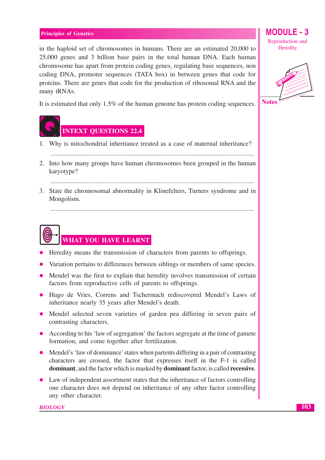in the haploid set of chromosomes in humans. There are an estimated 20,000 to 25,000 genes and 3 billion base pairs in the total human DNA. Each human chromosome has apart from protein coding genes, regulating base sequences, non coding DNA, promoter sequences (TATA box) in between genes that code for proteins. There are genes that code for the production of ribosomal RNA and the many tRNAs.

It is estimated that only 1.5% of the human genome has protein coding sequences.



# INTEXT QUESTIONS 22.4

- 1. Why is mitochondrial inheritance treated as a case of maternal inheritance?
	-
- 2. Into how many groups have human chromosomes been grouped in the human karvotvpe?

3. State the chromosomal abnormality in Klinefelters, Turners syndrome and in Mongolism.

# WHAT YOU HAVE LEARNT

- Heredity means the transmission of characters from parents to offsprings.
- Variation pertains to differences between siblings or members of same species.
- Mendel was the first to explain that heredity involves transmission of certain factors from reproductive cells of parents to offsprings.
- Hugo de Vries, Correns and Tschermach rediscovered Mendel's Laws of inheritance nearly 35 years after Mendel's death.
- Mendel selected seven varieties of garden pea differing in seven pairs of contrasting characters.
- According to his 'law of segregation' the factors segregate at the time of gamete formation, and come together after fertilization.
- Mendel's 'law of dominance' states when partents differing in a pair of contrasting characters are crossed, the factor that expresses itself in the F-1 is called **dominant**, and the factor which is masked by **dominant** factor, is called **recessive**.
- Law of independent assortment states that the inheritance of factors controlling one character does not depend on inheritance of any other factor controlling any other character.

#### **BIOLOGY**

Reproduction and Heredity

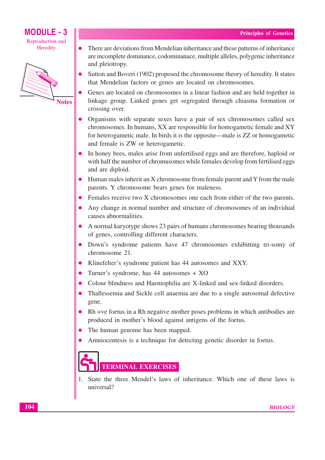# **MODULE - 3** Reproduction and

Heredity



- There are deviations from Mendelian inheritance and these patterns of inheritance  $\bullet$ are incomplete dominance, codominance, multiple alleles, polygenic inheritance and pleiotropy.
- Sutton and Boveri (1902) proposed the chromosome theory of heredity. It states that Mendelian factors or genes are located on chromosomes.
- Genes are located on chromosomes in a linear fashion and are held together in linkage group. Linked genes get segregated through chiasma formation or crossing over.
- Organisms with separate sexes have a pair of sex chromosomes called sex chromosomes. In humans, XX are responsible for homogametic female and XY for heterogametic male. In birds it is the opposite—male is ZZ or homogametic and female is ZW or heterogametic.
- In honey bees, males arise from unfertilised eggs and are therefore, haploid or with half the number of chromusomes while females develop from fertilised eggs and are diploid.
- Human males inherit an X chromosome from female parent and Y from the male parents. Y chromosome bears genes for maleness.
- Females receive two X chromosomes one each from either of the two parents.
- Any change in normal number and structure of chromosomes of an individual causes abnormalities.
- A normal karyotype shows 23 pairs of humans chromosomes bearing thousands of genes, controlling different characters.
- Down's syndrome patients have 47 chromosomes exhibiting tri-somy of chromosome 21.
- Klinefelter's syndrome patient has 44 autosomes and XXY.
- Turner's syndrome, has 44 autosomes + XO
- Colour blindness and Haemophilia are X-linked and sex-linked disorders.
- Thallessemia and Sickle cell anaemia are due to a single autosomal defective gene.
- Rh +ve foetus in a Rh negative mother poses problems in which antibodies are produced in mother's blood against antigens of the foetus.
- The human genome has been mapped.
- Amniocentesis is a technique for detecting genetic disorder in foetus.



1. State the three Mendel's laws of inheritance. Which one of these laws is universal?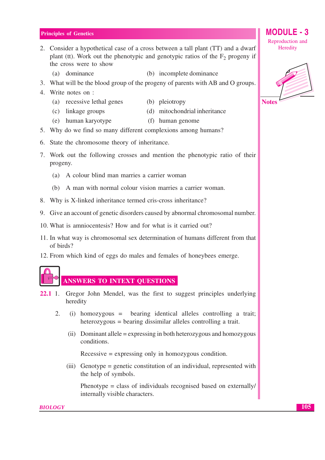- 2. Consider a hypothetical case of a cross between a tall plant (TT) and a dwarf plant (tt). Work out the phenotypic and genotypic ratios of the  $F<sub>2</sub>$  progeny if the cross were to show
	- (a) dominance (b) incomplete dominance
- 3. What will be the blood group of the progeny of parents with AB and O groups.
- 4. Write notes on :

(c) linkage groups

- (a) recessive lethal genes (b) pleiotropy
	- (d) mitochondrial inheritance
- (e) human karyotype (f) human genome
- 5. Why do we find so many different complexions among humans?
- 6. State the chromosome theory of inheritance.
- 7. Work out the following crosses and mention the phenotypic ratio of their progeny.
	- (a) A colour blind man marries a carrier woman
	- (b) A man with normal colour vision marries a carrier woman.
- 8. Why is X-linked inheritance termed cris-cross inheritance?
- 9. Give an account of genetic disorders caused by abnormal chromosomal number.
- 10. What is amniocentesis? How and for what is it carried out?
- 11. In what way is chromosomal sex determination of humans different from that of birds?
- 12. From which kind of eggs do males and females of honeybees emerge.

# **ANSWERS TO INTEXT QUESTIONS**

- $22.11$ . Gregor John Mendel, was the first to suggest principles underlying heredity
	- $\overline{2}$ .  $(i)$  homozygous = bearing identical alleles controlling a trait; heterozygous = bearing dissimilar alleles controlling a trait.
		- (ii) Dominant allele = expressing in both heterozygous and homozygous conditions.

 $Recessive = expressing only in homozygous condition.$ 

(iii) Genotype = genetic constitution of an individual, represented with the help of symbols.

Phenotype = class of individuals recognised based on externally/ internally visible characters.

Reproduction and Heredity